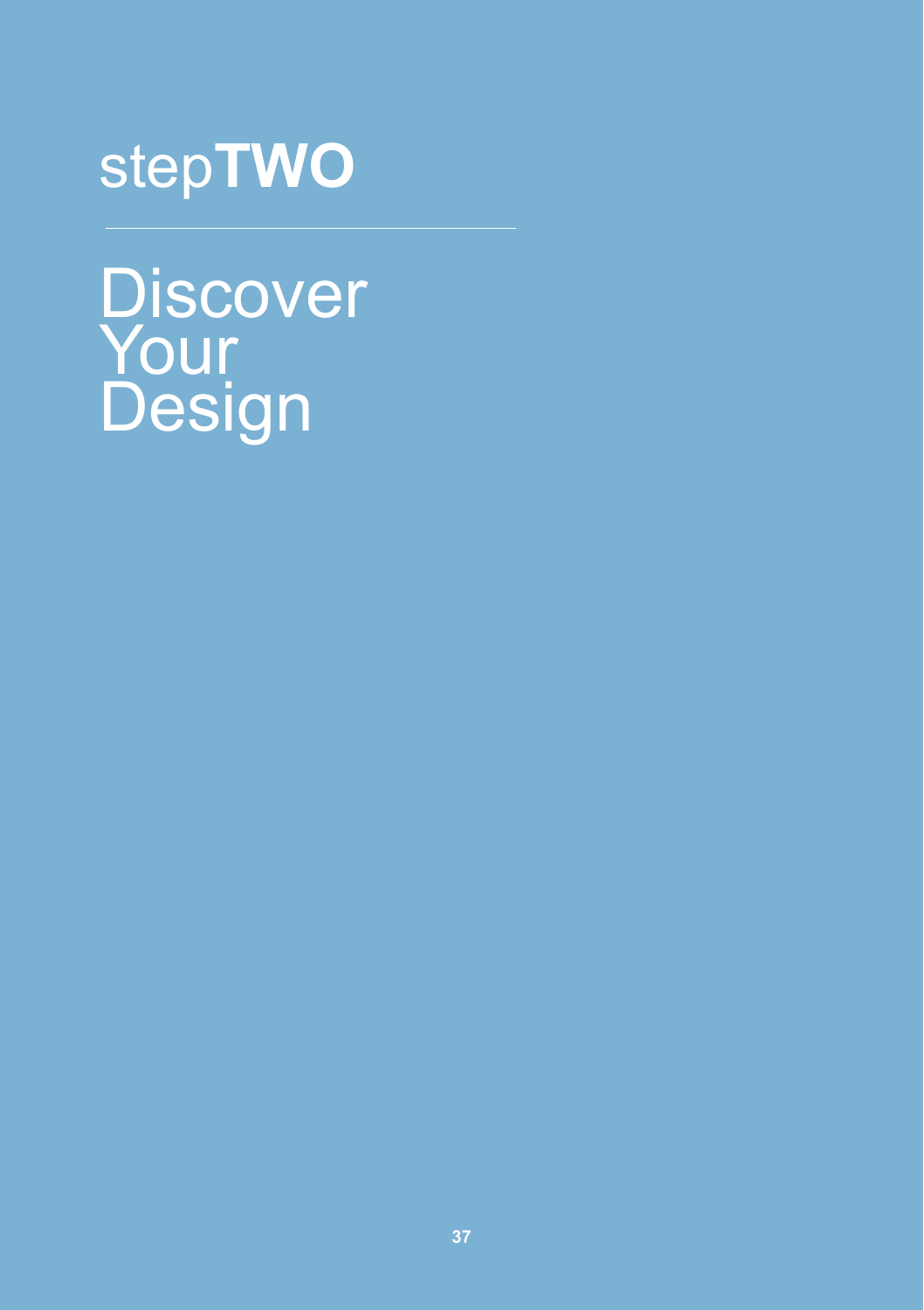# step**TWO**

**Discover** Your **Design**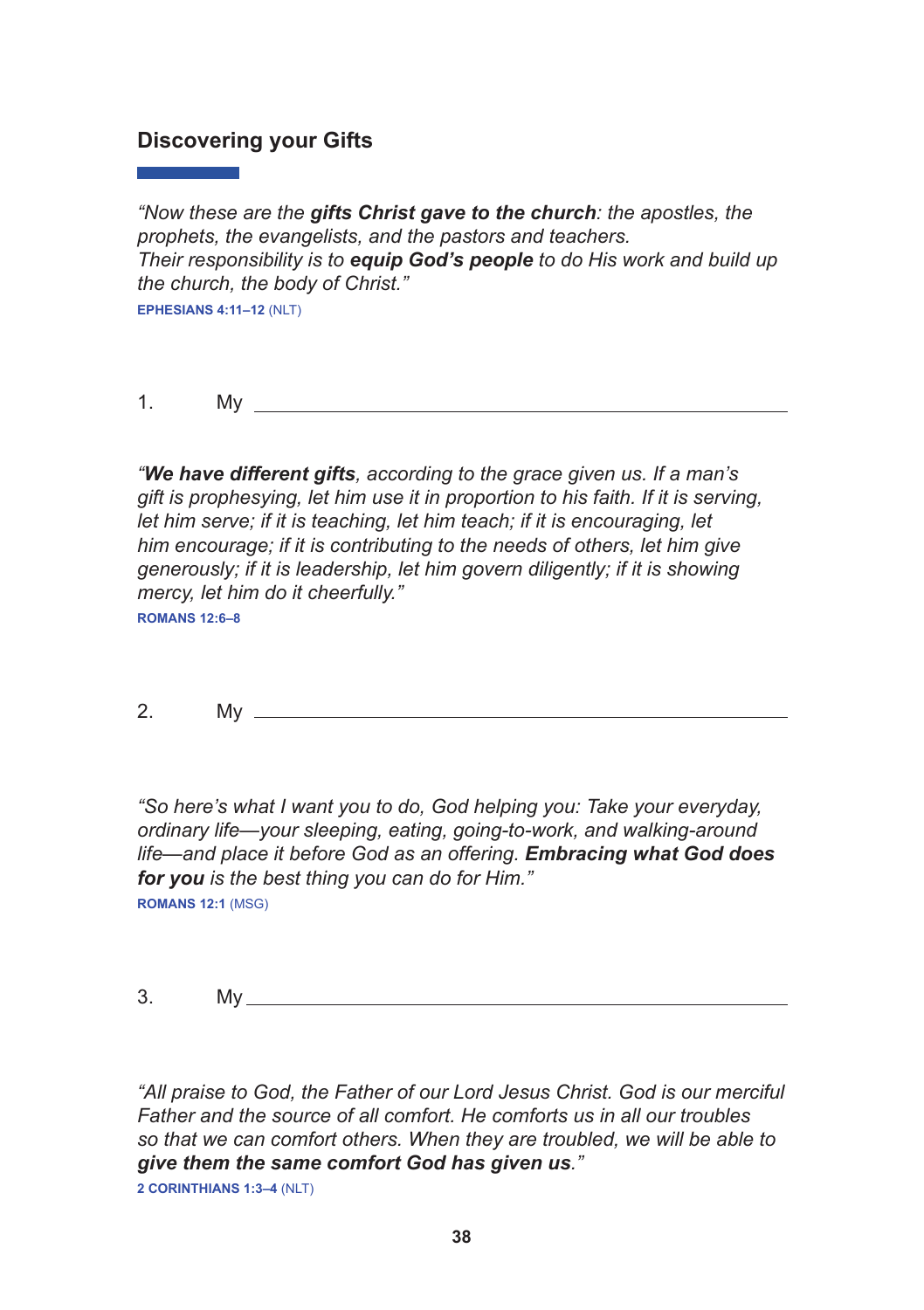#### **Discovering your Gifts**

*"Now these are the gifts Christ gave to the church: the apostles, the prophets, the evangelists, and the pastors and teachers. Their responsibility is to equip God's people to do His work and build up the church, the body of Christ."* **EPHESIANS 4:11–12** (NLT)

1. My

*"We have different gifts, according to the grace given us. If a man's gift is prophesying, let him use it in proportion to his faith. If it is serving, let him serve; if it is teaching, let him teach; if it is encouraging, let him encourage; if it is contributing to the needs of others, let him give generously; if it is leadership, let him govern diligently; if it is showing mercy, let him do it cheerfully."* 

**ROMANS 12:6–8**

2. My

*"So here's what I want you to do, God helping you: Take your everyday, ordinary life—your sleeping, eating, going-to-work, and walking-around life—and place it before God as an offering. Embracing what God does for you is the best thing you can do for Him."* **ROMANS 12:1** (MSG)

 $3.$  My  $\overline{\phantom{1}}$ 

*"All praise to God, the Father of our Lord Jesus Christ. God is our merciful Father and the source of all comfort. He comforts us in all our troubles so that we can comfort others. When they are troubled, we will be able to give them the same comfort God has given us."* 

**2 CORINTHIANS 1:3–4** (NLT)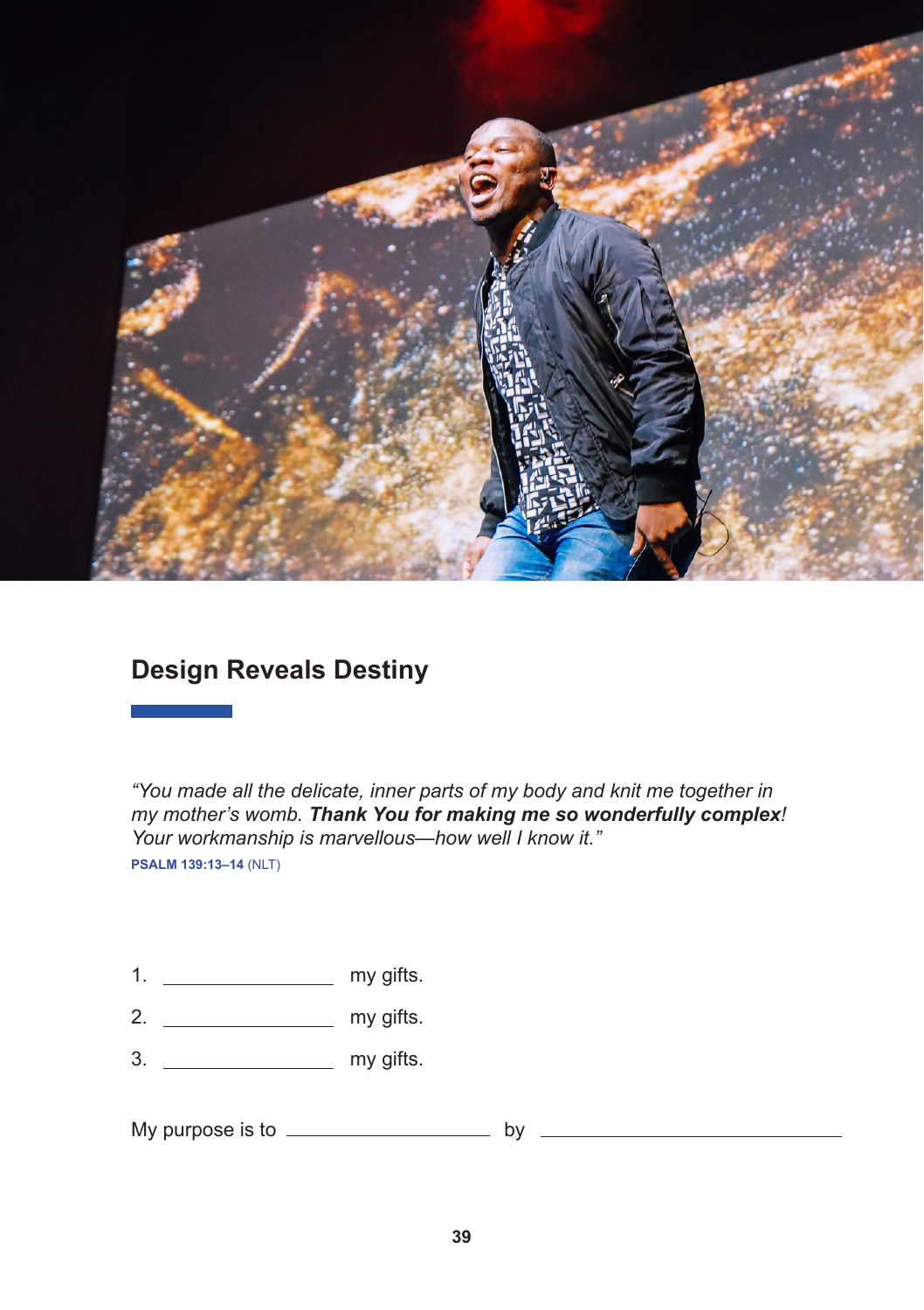

# **Design Reveals Destiny**

*"You made all the delicate, inner parts of my body and knit me together in my mother's womb. Thank You for making me so wonderfully complex! Your workmanship is marvellous—how well I know it."*  **PSALM 139:13–14** (NLT)

- 1.  $\frac{1}{\sqrt{1-\frac{1}{\sqrt{1-\frac{1}{\sqrt{1-\frac{1}{\sqrt{1-\frac{1}{\sqrt{1-\frac{1}{\sqrt{1-\frac{1}{\sqrt{1-\frac{1}{\sqrt{1-\frac{1}{\sqrt{1-\frac{1}{\sqrt{1-\frac{1}{\sqrt{1-\frac{1}{\sqrt{1-\frac{1}{\sqrt{1-\frac{1}{\sqrt{1-\frac{1}{\sqrt{1-\frac{1}{\sqrt{1-\frac{1}{\sqrt{1-\frac{1}{\sqrt{1-\frac{1}{\sqrt{1-\frac{1}{\sqrt{1-\frac{1}{\sqrt{1-\frac{1}{\sqrt{1-\frac{1}{\sqrt{1-\frac{1}{\sqrt{1-\$
- $2.$  my gifts.
- 3. my gifts.

My purpose is to  $\frac{1}{2}$  by  $\frac{1}{2}$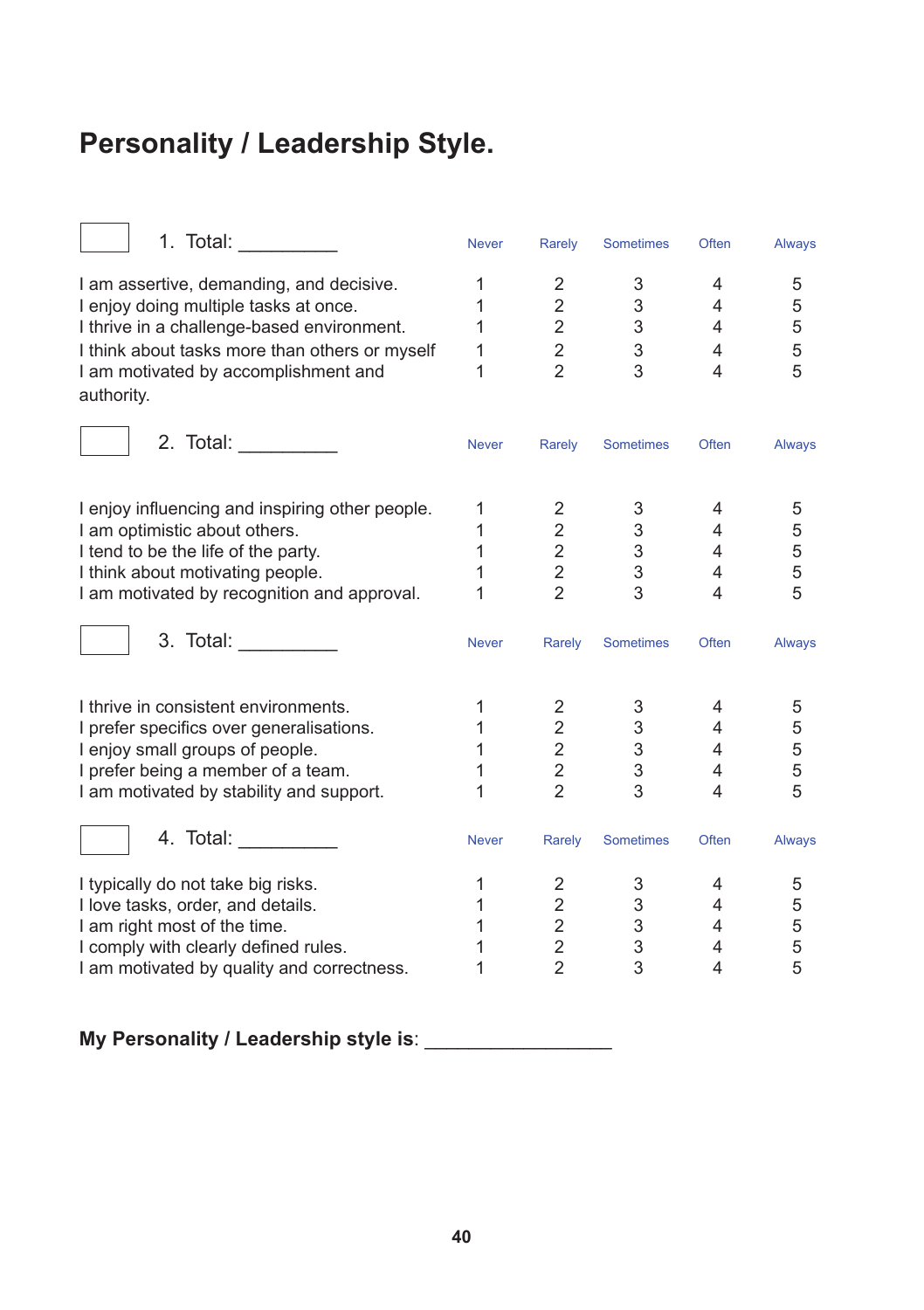# **Personality / Leadership Style.**

| 1. Total: ___________                           | <b>Never</b> | Rarely                  | <b>Sometimes</b> | Often                   | <b>Always</b> |
|-------------------------------------------------|--------------|-------------------------|------------------|-------------------------|---------------|
| I am assertive, demanding, and decisive.        | 1            | 2                       | 3                | 4                       | 5             |
| I enjoy doing multiple tasks at once.           | 1            | $\overline{\mathbf{c}}$ | 3                | 4                       | 5             |
| I thrive in a challenge-based environment.      | 1            | $\overline{2}$          | 3                | 4                       | 5             |
| I think about tasks more than others or myself  | 1            | $\mathbf 2$             | 3                | 4                       | 5             |
| I am motivated by accomplishment and            | 1            | $\overline{2}$          | 3                | 4                       | 5             |
| authority.                                      |              |                         |                  |                         |               |
| 2. Total:                                       | <b>Never</b> | Rarely                  | <b>Sometimes</b> | Often                   | Always        |
|                                                 |              |                         |                  |                         |               |
| I enjoy influencing and inspiring other people. | 1            | $\mathbf{2}$            | 3                | 4                       | 5             |
| I am optimistic about others.                   | 1            | $\overline{2}$          | $\mathbf{3}$     | $\overline{4}$          | 5             |
| I tend to be the life of the party.             | 1            | $\overline{2}$          | 3 <sup>7</sup>   | 4                       | 5             |
| I think about motivating people.                | 1            | $\overline{2}$          | 3                | 4                       | 5             |
| I am motivated by recognition and approval.     | 1            | $\overline{2}$          | 3                | $\overline{\mathbf{4}}$ | 5             |
| 3. Total:                                       | <b>Never</b> | Rarely                  | Sometimes        | Often                   | Always        |
| I thrive in consistent environments.            | 1            | $\overline{2}$          | 3                | 4                       | 5             |
| I prefer specifics over generalisations.        | 1            | $\overline{2}$          | 3                | $\overline{4}$          | 5             |
| I enjoy small groups of people.                 | $\mathbf{1}$ | $\overline{2}$          | 3 <sup>1</sup>   | 4                       | 5             |
| I prefer being a member of a team.              | 1            | $\overline{a}$          | 3                | 4                       | 5             |
| I am motivated by stability and support.        | 1            | $\mathfrak{p}$          | 3                | 4                       | 5             |
| 4. Total: __________                            | <b>Never</b> | Rarely                  | Sometimes        | Often                   | Always        |
| I typically do not take big risks.              | 1            | $\overline{2}$          | 3                | 4                       | 5             |
| I love tasks, order, and details.               | $\mathbf{1}$ | $\overline{2}$          | 3 <sup>7</sup>   | $\overline{4}$          | 5             |
| I am right most of the time.                    | 1            | $\overline{a}$          | $\mathbf{3}$     | 4                       | 5             |
| I comply with clearly defined rules.            | 1            | $\frac{2}{2}$           | 3                | 4                       | 5             |
| I am motivated by quality and correctness.      | 1            |                         | 3                | 4                       | 5             |
|                                                 |              |                         |                  |                         |               |

**My Personality / Leadership style is**: \_\_\_\_\_\_\_\_\_\_\_\_\_\_\_\_\_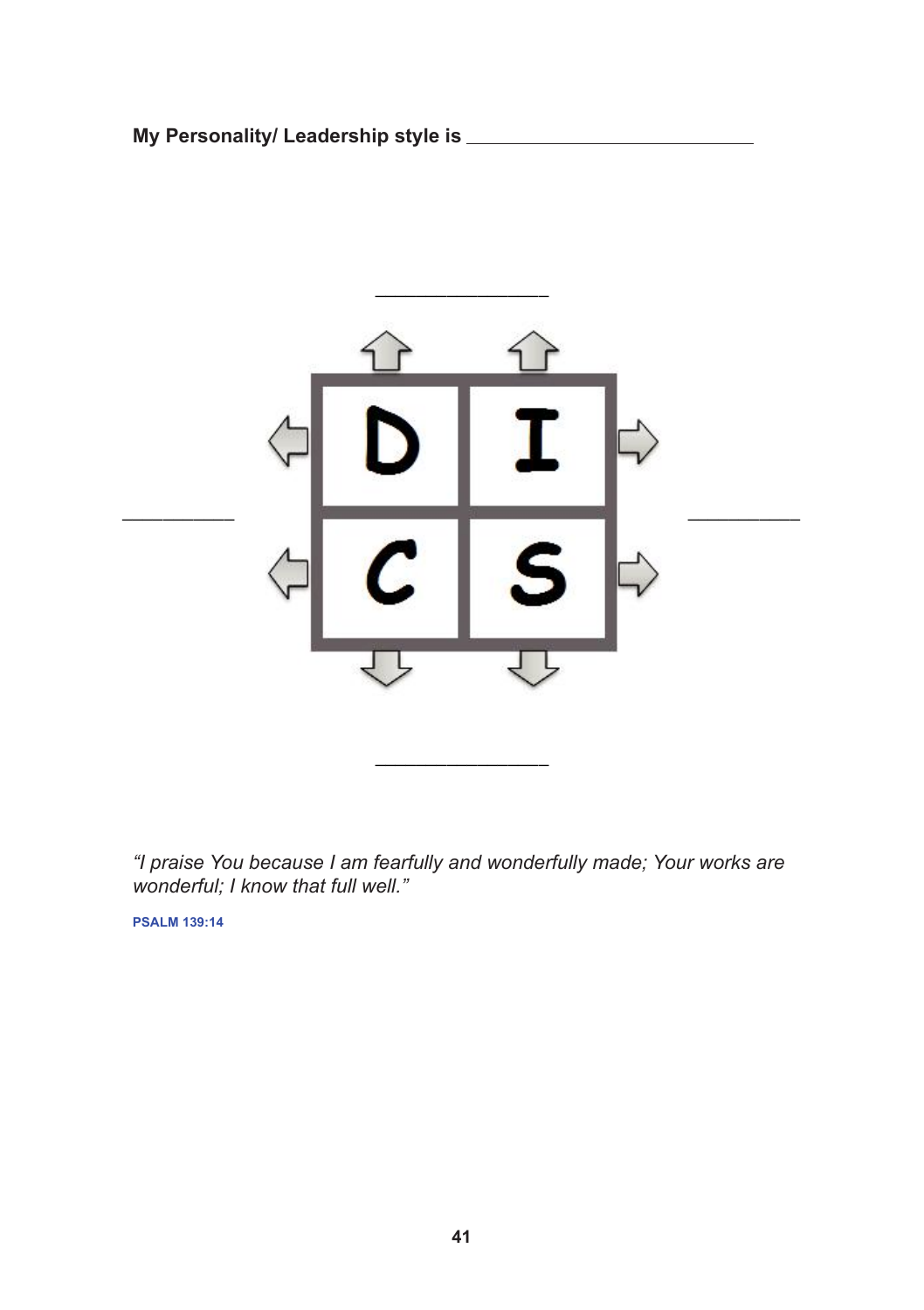**My Personality/ Leadership style is My Personality/ Leadership style is \_\_\_\_\_\_\_\_\_\_\_\_\_\_\_\_\_**



*"I praise You because I am fearfully and wonderfully made; Your works are wonderful; I know that full well."* 

**PSALM 139:14**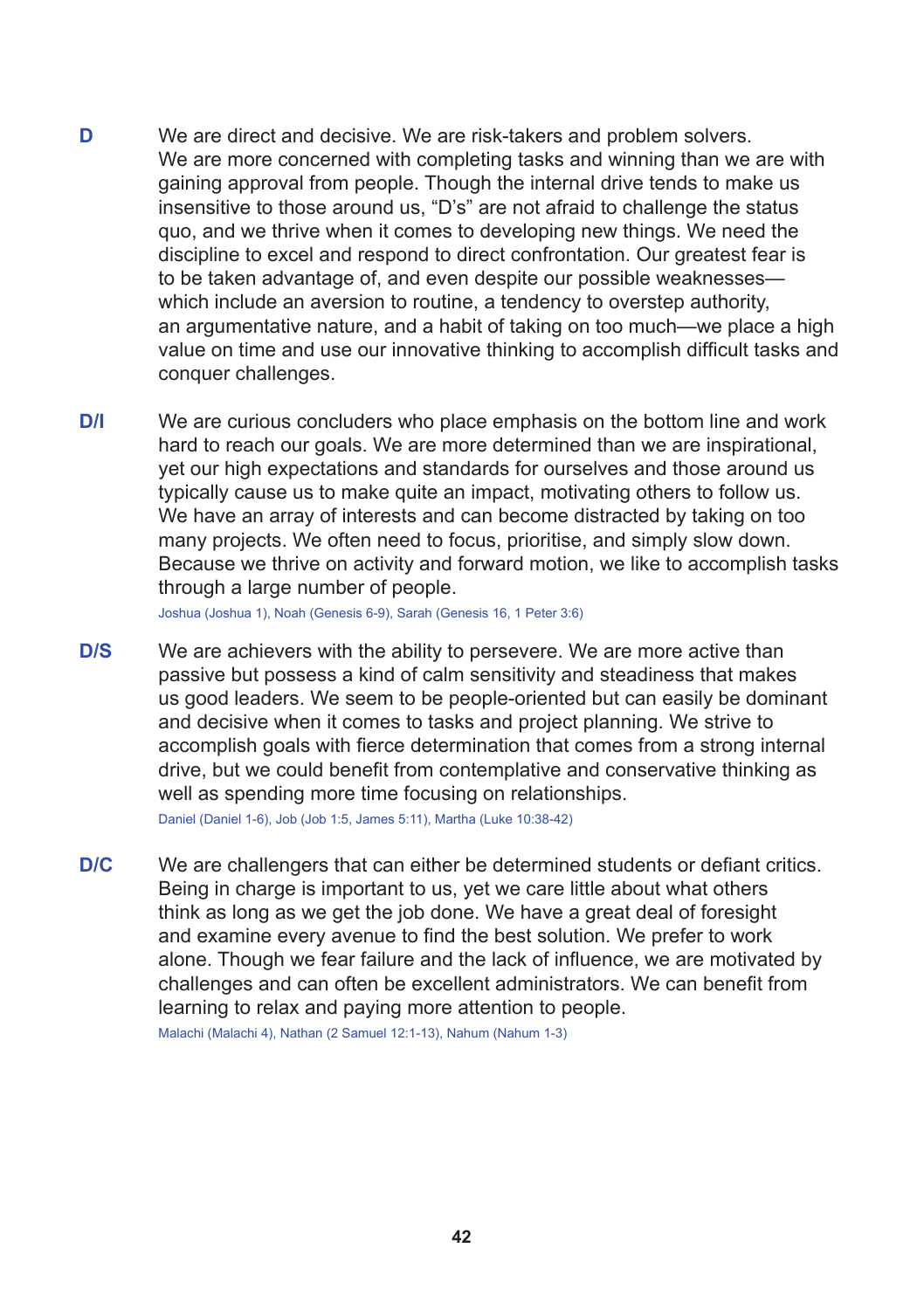- **D** We are direct and decisive. We are risk-takers and problem solvers. We are more concerned with completing tasks and winning than we are with gaining approval from people. Though the internal drive tends to make us insensitive to those around us, "D's" are not afraid to challenge the status quo, and we thrive when it comes to developing new things. We need the discipline to excel and respond to direct confrontation. Our greatest fear is to be taken advantage of, and even despite our possible weaknesses which include an aversion to routine, a tendency to overstep authority. an argumentative nature, and a habit of taking on too much—we place a high value on time and use our innovative thinking to accomplish difficult tasks and conquer challenges.
- **D/I** We are curious concluders who place emphasis on the bottom line and work hard to reach our goals. We are more determined than we are inspirational. yet our high expectations and standards for ourselves and those around us typically cause us to make quite an impact, motivating others to follow us. We have an array of interests and can become distracted by taking on too many projects. We often need to focus, prioritise, and simply slow down. Because we thrive on activity and forward motion, we like to accomplish tasks through a large number of people.

Joshua (Joshua 1), Noah (Genesis 6-9), Sarah (Genesis 16, 1 Peter 3:6)

**D/S** We are achievers with the ability to persevere. We are more active than passive but possess a kind of calm sensitivity and steadiness that makes us good leaders. We seem to be people-oriented but can easily be dominant and decisive when it comes to tasks and project planning. We strive to accomplish goals with fierce determination that comes from a strong internal drive, but we could benefit from contemplative and conservative thinking as well as spending more time focusing on relationships. Daniel (Daniel 1-6), Job (Job 1:5, James 5:11), Martha (Luke 10:38-42)

**D/C** We are challengers that can either be determined students or defiant critics. Being in charge is important to us, yet we care little about what others think as long as we get the job done. We have a great deal of foresight and examine every avenue to find the best solution. We prefer to work alone. Though we fear failure and the lack of influence, we are motivated by challenges and can often be excellent administrators. We can benefit from learning to relax and paying more attention to people. Malachi (Malachi 4), Nathan (2 Samuel 12:1-13), Nahum (Nahum 1-3)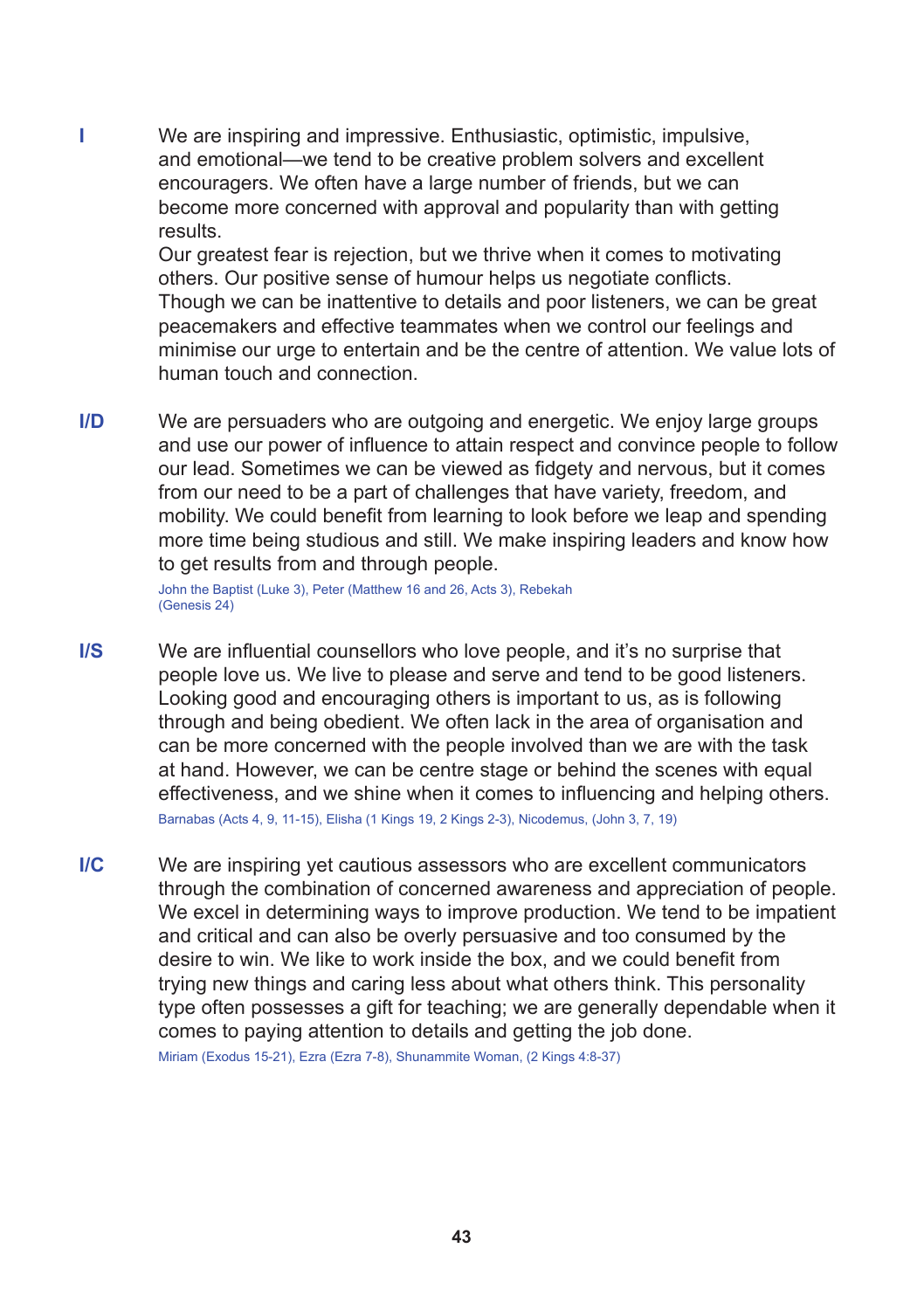**I** We are inspiring and impressive. Enthusiastic, optimistic, impulsive, and emotional—we tend to be creative problem solvers and excellent encouragers. We often have a large number of friends, but we can become more concerned with approval and popularity than with getting results.

> Our greatest fear is rejection, but we thrive when it comes to motivating others. Our positive sense of humour helps us negotiate conflicts. Though we can be inattentive to details and poor listeners, we can be great peacemakers and effective teammates when we control our feelings and minimise our urge to entertain and be the centre of attention. We value lots of human touch and connection.

**I/D** We are persuaders who are outgoing and energetic. We enjoy large groups and use our power of influence to attain respect and convince people to follow our lead. Sometimes we can be viewed as fidgety and nervous, but it comes from our need to be a part of challenges that have variety, freedom, and mobility. We could benefit from learning to look before we leap and spending more time being studious and still. We make inspiring leaders and know how to get results from and through people.

> John the Baptist (Luke 3), Peter (Matthew 16 and 26, Acts 3), Rebekah (Genesis 24)

- **I/S** We are influential counsellors who love people, and it's no surprise that people love us. We live to please and serve and tend to be good listeners. Looking good and encouraging others is important to us, as is following through and being obedient. We often lack in the area of organisation and can be more concerned with the people involved than we are with the task at hand. However, we can be centre stage or behind the scenes with equal effectiveness, and we shine when it comes to influencing and helping others. Barnabas (Acts 4, 9, 11-15), Elisha (1 Kings 19, 2 Kings 2-3), Nicodemus, (John 3, 7, 19)
- **I/C** We are inspiring yet cautious assessors who are excellent communicators through the combination of concerned awareness and appreciation of people. We excel in determining ways to improve production. We tend to be impatient and critical and can also be overly persuasive and too consumed by the desire to win. We like to work inside the box, and we could benefit from trying new things and caring less about what others think. This personality type often possesses a gift for teaching; we are generally dependable when it comes to paying attention to details and getting the job done.

Miriam (Exodus 15-21), Ezra (Ezra 7-8), Shunammite Woman, (2 Kings 4:8-37)

#### **43**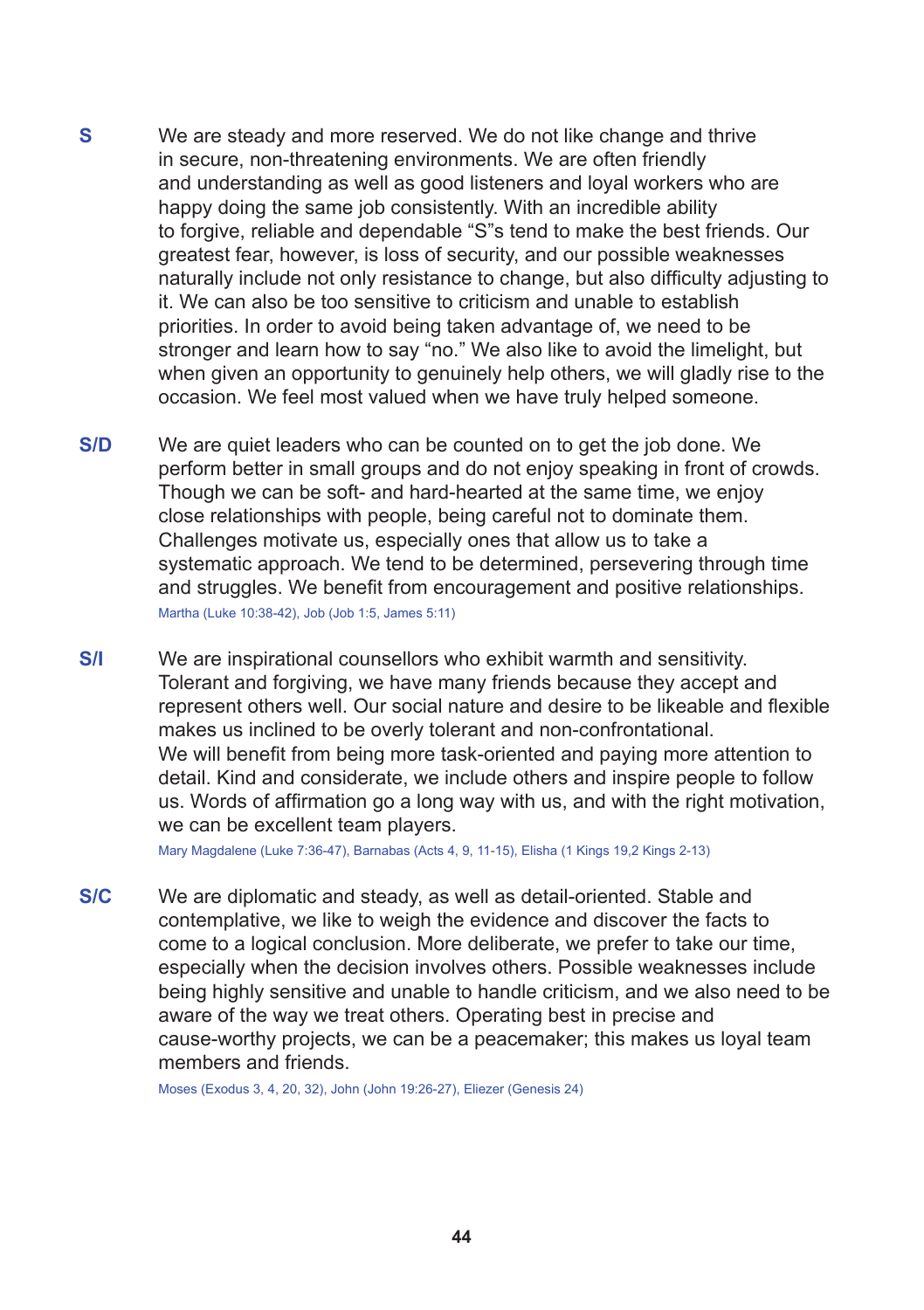- **S** We are steady and more reserved. We do not like change and thrive in secure, non-threatening environments. We are often friendly and understanding as well as good listeners and loyal workers who are happy doing the same job consistently. With an incredible ability to forgive, reliable and dependable "S"s tend to make the best friends. Our greatest fear, however, is loss of security, and our possible weaknesses naturally include not only resistance to change, but also difficulty adjusting to it. We can also be too sensitive to criticism and unable to establish priorities. In order to avoid being taken advantage of, we need to be stronger and learn how to say "no." We also like to avoid the limelight, but when given an opportunity to genuinely help others, we will gladly rise to the occasion. We feel most valued when we have truly helped someone.
- **S/D** We are quiet leaders who can be counted on to get the job done. We perform better in small groups and do not enjoy speaking in front of crowds. Though we can be soft- and hard-hearted at the same time, we enjoy close relationships with people, being careful not to dominate them. Challenges motivate us, especially ones that allow us to take a systematic approach. We tend to be determined, persevering through time and struggles. We benefit from encouragement and positive relationships. Martha (Luke 10:38-42), Job (Job 1:5, James 5:11)
- **S/I** We are inspirational counsellors who exhibit warmth and sensitivity. Tolerant and forgiving, we have many friends because they accept and represent others well. Our social nature and desire to be likeable and flexible makes us inclined to be overly tolerant and non-confrontational. We will benefit from being more task-oriented and paying more attention to detail. Kind and considerate, we include others and inspire people to follow us. Words of affirmation go a long way with us, and with the right motivation, we can be excellent team players.

Mary Magdalene (Luke 7:36-47), Barnabas (Acts 4, 9, 11-15), Elisha (1 Kings 19,2 Kings 2-13)

**S/C** We are diplomatic and steady, as well as detail-oriented. Stable and contemplative, we like to weigh the evidence and discover the facts to come to a logical conclusion. More deliberate, we prefer to take our time, especially when the decision involves others. Possible weaknesses include being highly sensitive and unable to handle criticism, and we also need to be aware of the way we treat others. Operating best in precise and cause-worthy projects, we can be a peacemaker; this makes us loyal team members and friends.

Moses (Exodus 3, 4, 20, 32), John (John 19:26-27), Eliezer (Genesis 24)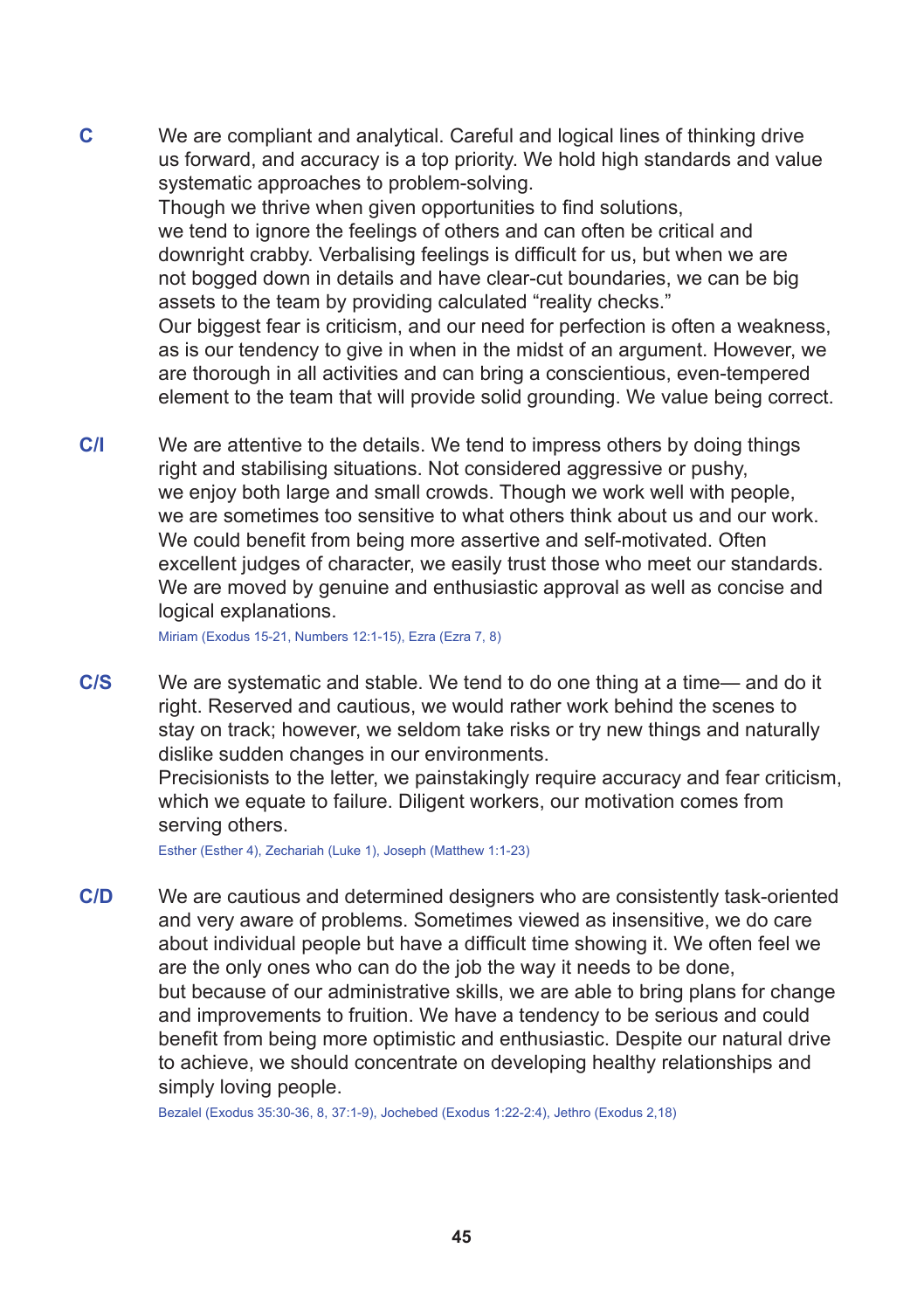- **C** We are compliant and analytical. Careful and logical lines of thinking drive us forward, and accuracy is a top priority. We hold high standards and value systematic approaches to problem-solving. Though we thrive when given opportunities to find solutions, we tend to ignore the feelings of others and can often be critical and downright crabby. Verbalising feelings is difficult for us, but when we are not bogged down in details and have clear-cut boundaries, we can be big assets to the team by providing calculated "reality checks." Our biggest fear is criticism, and our need for perfection is often a weakness, as is our tendency to give in when in the midst of an argument. However, we are thorough in all activities and can bring a conscientious, even-tempered element to the team that will provide solid grounding. We value being correct.
- **C/I** We are attentive to the details. We tend to impress others by doing things right and stabilising situations. Not considered aggressive or pushy, we enjoy both large and small crowds. Though we work well with people, we are sometimes too sensitive to what others think about us and our work. We could benefit from being more assertive and self-motivated. Often excellent judges of character, we easily trust those who meet our standards. We are moved by genuine and enthusiastic approval as well as concise and logical explanations.

Miriam (Exodus 15-21, Numbers 12:1-15), Ezra (Ezra 7, 8)

**C/S** We are systematic and stable. We tend to do one thing at a time— and do it right. Reserved and cautious, we would rather work behind the scenes to stay on track; however, we seldom take risks or try new things and naturally dislike sudden changes in our environments.

Precisionists to the letter, we painstakingly require accuracy and fear criticism, which we equate to failure. Diligent workers, our motivation comes from serving others.

Esther (Esther 4), Zechariah (Luke 1), Joseph (Matthew 1:1-23)

**C/D** We are cautious and determined designers who are consistently task-oriented and very aware of problems. Sometimes viewed as insensitive, we do care about individual people but have a difficult time showing it. We often feel we are the only ones who can do the job the way it needs to be done, but because of our administrative skills, we are able to bring plans for change and improvements to fruition. We have a tendency to be serious and could benefit from being more optimistic and enthusiastic. Despite our natural drive to achieve, we should concentrate on developing healthy relationships and simply loving people.

Bezalel (Exodus 35:30-36, 8, 37:1-9), Jochebed (Exodus 1:22-2:4), Jethro (Exodus 2,18)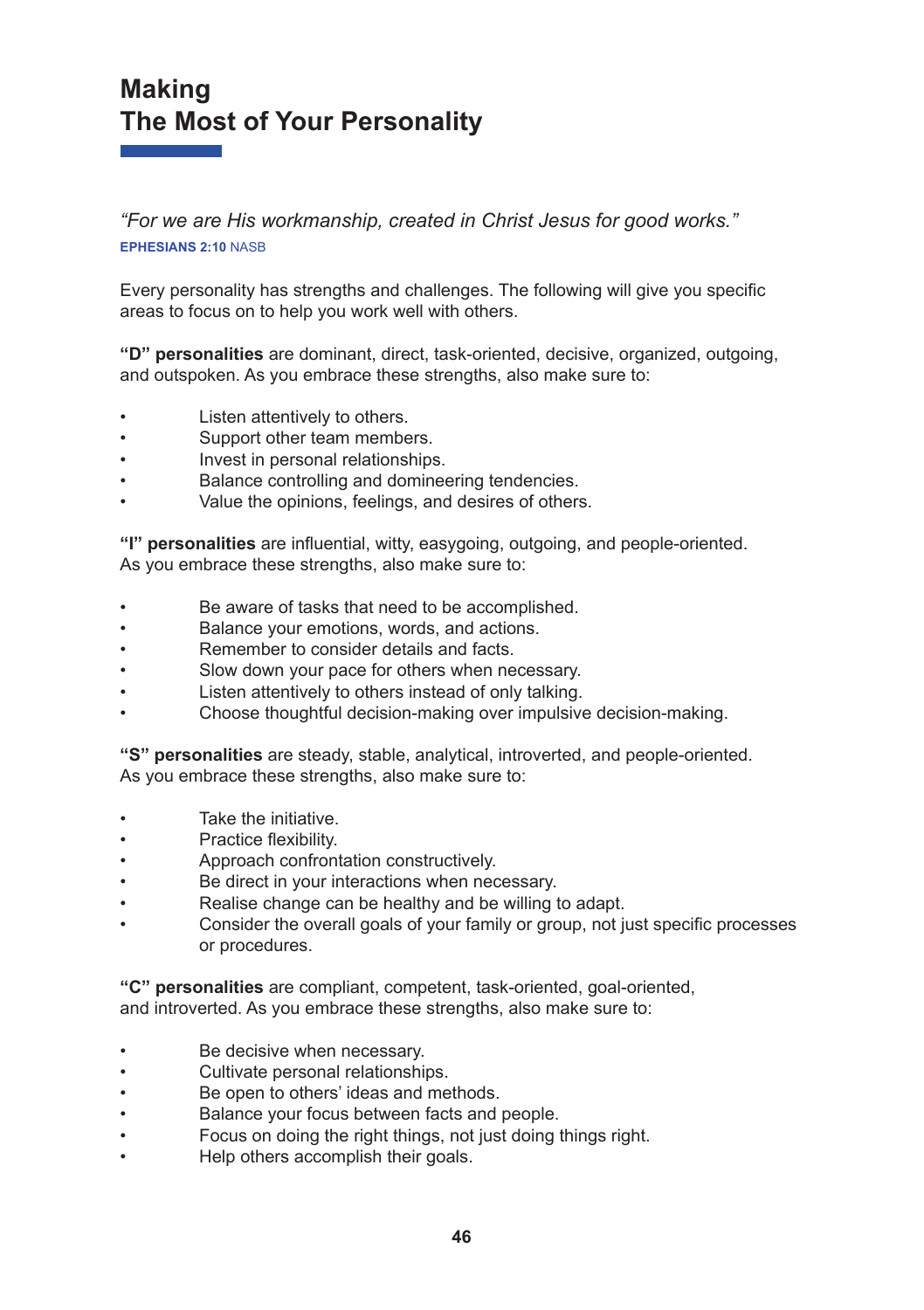# **Making The Most of Your Personality**

*"For we are His workmanship, created in Christ Jesus for good works."* **EPHESIANS 2:10** NASB

Every personality has strengths and challenges. The following will give you specific areas to focus on to help you work well with others.

**"D" personalities** are dominant, direct, task-oriented, decisive, organized, outgoing, and outspoken. As you embrace these strengths, also make sure to:

- Listen attentively to others.
- Support other team members.
- Invest in personal relationships.
- Balance controlling and domineering tendencies.
- Value the opinions, feelings, and desires of others.

**"I" personalities** are influential, witty, easygoing, outgoing, and people-oriented. As you embrace these strengths, also make sure to:

- Be aware of tasks that need to be accomplished.
- Balance your emotions, words, and actions.
- Remember to consider details and facts.
- Slow down your pace for others when necessary.
- Listen attentively to others instead of only talking.
- Choose thoughtful decision-making over impulsive decision-making.

**"S" personalities** are steady, stable, analytical, introverted, and people-oriented. As you embrace these strengths, also make sure to:

- Take the initiative.
- Practice flexibility.
- Approach confrontation constructively.
- Be direct in your interactions when necessary.
- Realise change can be healthy and be willing to adapt.
- Consider the overall goals of your family or group, not just specific processes or procedures.

**"C" personalities** are compliant, competent, task-oriented, goal-oriented, and introverted. As you embrace these strengths, also make sure to:

- Be decisive when necessary.
- Cultivate personal relationships.
- Be open to others' ideas and methods.
- Balance your focus between facts and people.
- Focus on doing the right things, not just doing things right.
- Help others accomplish their goals.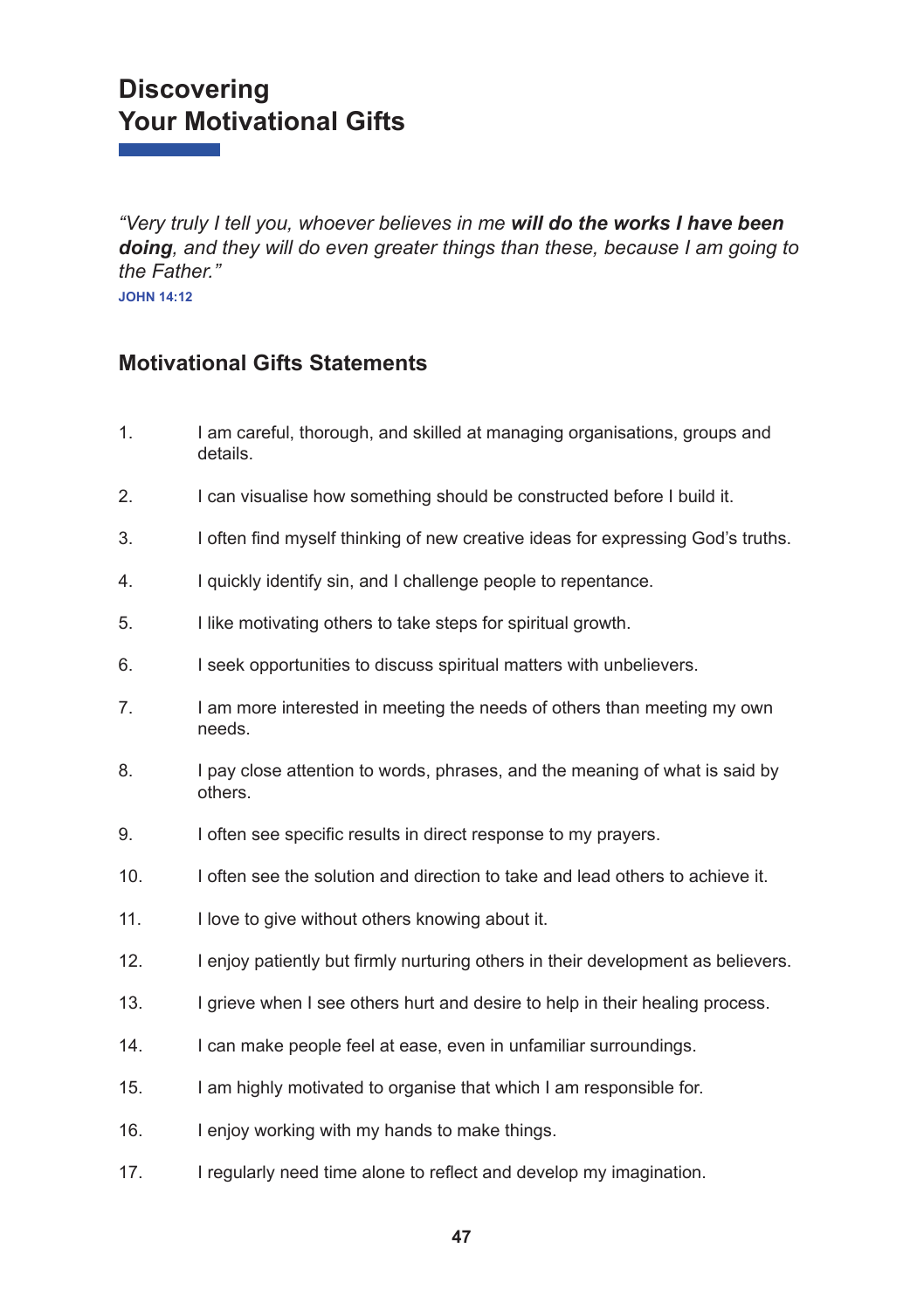# **Discovering Your Motivational Gifts**

*"Very truly I tell you, whoever believes in me will do the works I have been doing, and they will do even greater things than these, because I am going to the Father."* 

**JOHN 14:12**

#### **Motivational Gifts Statements**

- 1. I am careful, thorough, and skilled at managing organisations, groups and details.
- 2. I can visualise how something should be constructed before I build it.
- 3. I often find myself thinking of new creative ideas for expressing God's truths.
- 4. I quickly identify sin, and I challenge people to repentance.
- 5. I like motivating others to take steps for spiritual growth.
- 6. I seek opportunities to discuss spiritual matters with unbelievers.
- 7. I am more interested in meeting the needs of others than meeting my own needs.
- 8. I pay close attention to words, phrases, and the meaning of what is said by others.
- 9. I often see specific results in direct response to my prayers.
- 10. I often see the solution and direction to take and lead others to achieve it.
- 11. I love to give without others knowing about it.
- 12. I enjoy patiently but firmly nurturing others in their development as believers.
- 13. I grieve when I see others hurt and desire to help in their healing process.
- 14. I can make people feel at ease, even in unfamiliar surroundings.
- 15. I am highly motivated to organise that which I am responsible for.
- 16. I enjoy working with my hands to make things.
- 17. I regularly need time alone to reflect and develop my imagination.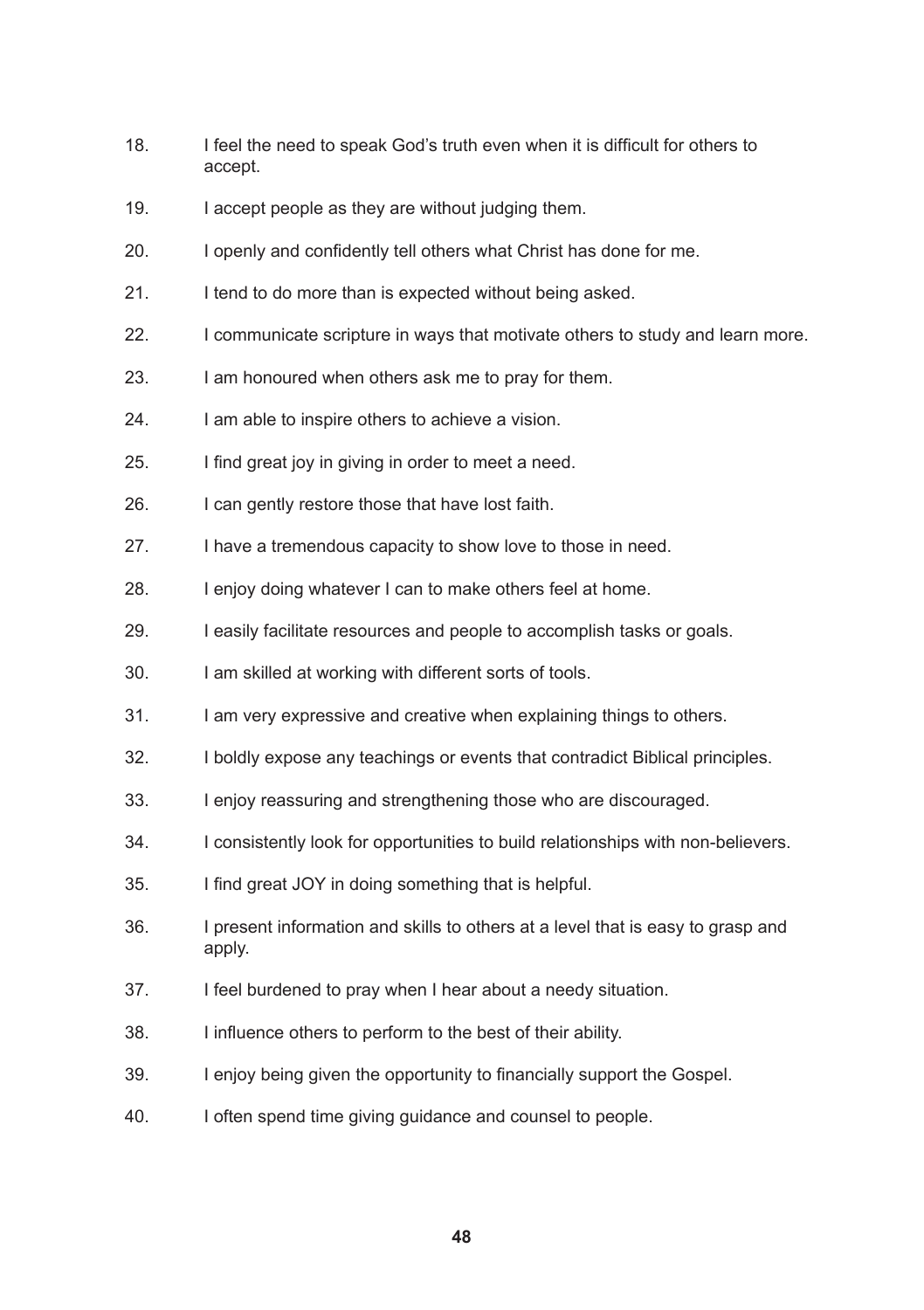- 18. I feel the need to speak God's truth even when it is difficult for others to accept.
- 19. I accept people as they are without judging them.
- 20. I openly and confidently tell others what Christ has done for me.
- 21. I tend to do more than is expected without being asked.
- 22. I communicate scripture in ways that motivate others to study and learn more.
- 23. I am honoured when others ask me to pray for them.
- 24. I am able to inspire others to achieve a vision.
- 25. I find great joy in giving in order to meet a need.
- 26. I can gently restore those that have lost faith.
- 27. I have a tremendous capacity to show love to those in need.
- 28. I enjoy doing whatever I can to make others feel at home.
- 29. I easily facilitate resources and people to accomplish tasks or goals.
- 30. I am skilled at working with different sorts of tools.
- 31. I am very expressive and creative when explaining things to others.
- 32. I boldly expose any teachings or events that contradict Biblical principles.
- 33. I enjoy reassuring and strengthening those who are discouraged.
- 34. I consistently look for opportunities to build relationships with non-believers.
- 35. I find great JOY in doing something that is helpful.
- 36. I present information and skills to others at a level that is easy to grasp and apply.
- 37. I feel burdened to pray when I hear about a needy situation.
- 38. I influence others to perform to the best of their ability.
- 39. I enjoy being given the opportunity to financially support the Gospel.
- 40. I often spend time giving guidance and counsel to people.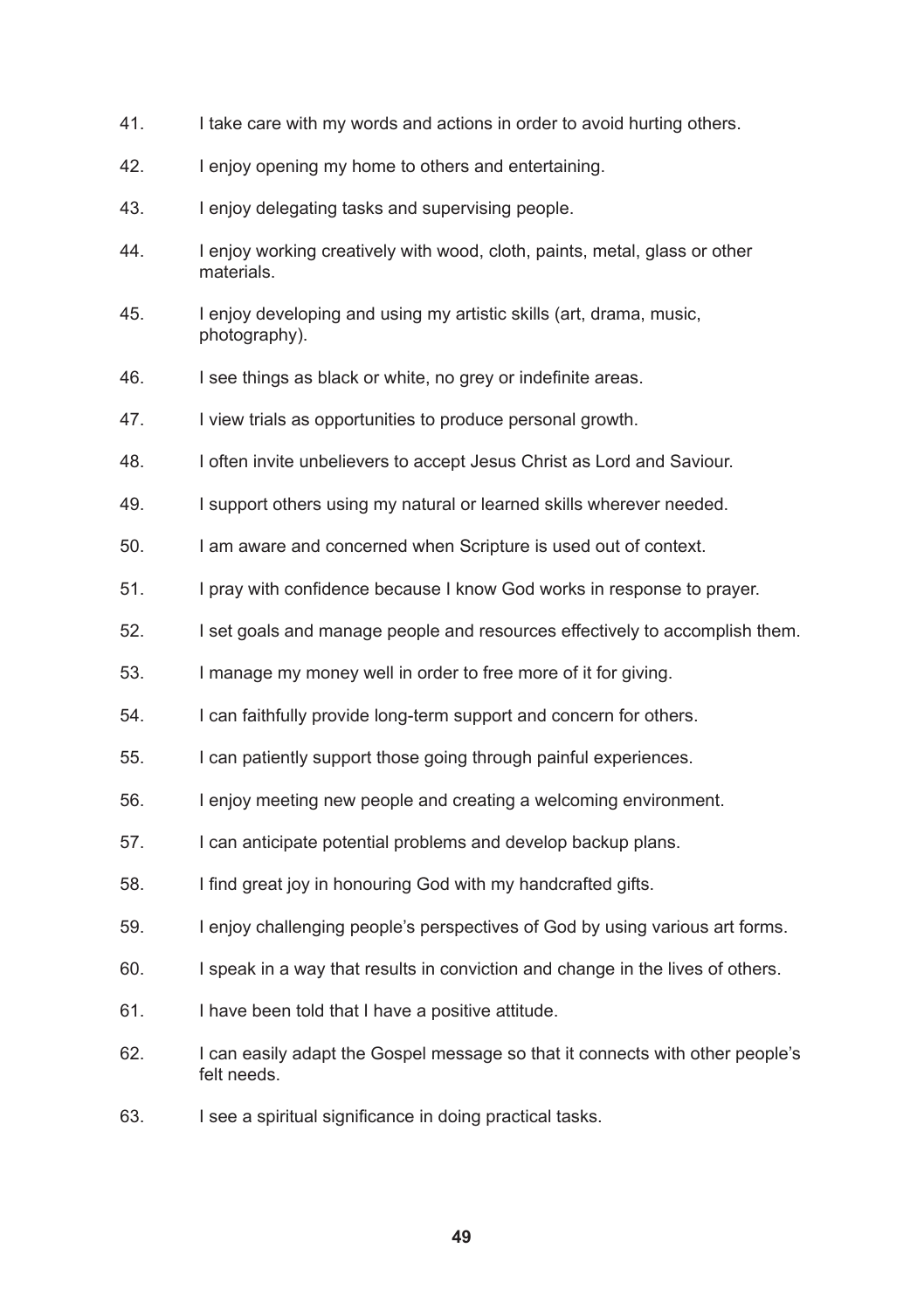- 41. I take care with my words and actions in order to avoid hurting others.
- 42. I enjoy opening my home to others and entertaining.
- 43. I enjoy delegating tasks and supervising people.
- 44. I enjoy working creatively with wood, cloth, paints, metal, glass or other materials.
- 45. I enjoy developing and using my artistic skills (art, drama, music, photography).
- 46. I see things as black or white, no grey or indefinite areas.
- 47. I view trials as opportunities to produce personal growth.
- 48. I often invite unbelievers to accept Jesus Christ as Lord and Saviour.
- 49. I support others using my natural or learned skills wherever needed.
- 50. I am aware and concerned when Scripture is used out of context.
- 51. I pray with confidence because I know God works in response to prayer.
- 52. I set goals and manage people and resources effectively to accomplish them.
- 53. I manage my money well in order to free more of it for giving.
- 54. I can faithfully provide long-term support and concern for others.
- 55. I can patiently support those going through painful experiences.
- 56. I enjoy meeting new people and creating a welcoming environment.
- 57. I can anticipate potential problems and develop backup plans.
- 58. I find great joy in honouring God with my handcrafted gifts.
- 59. I enjoy challenging people's perspectives of God by using various art forms.
- 60. I speak in a way that results in conviction and change in the lives of others.
- 61. I have been told that I have a positive attitude.
- 62. I can easily adapt the Gospel message so that it connects with other people's felt needs.
- 63. I see a spiritual significance in doing practical tasks.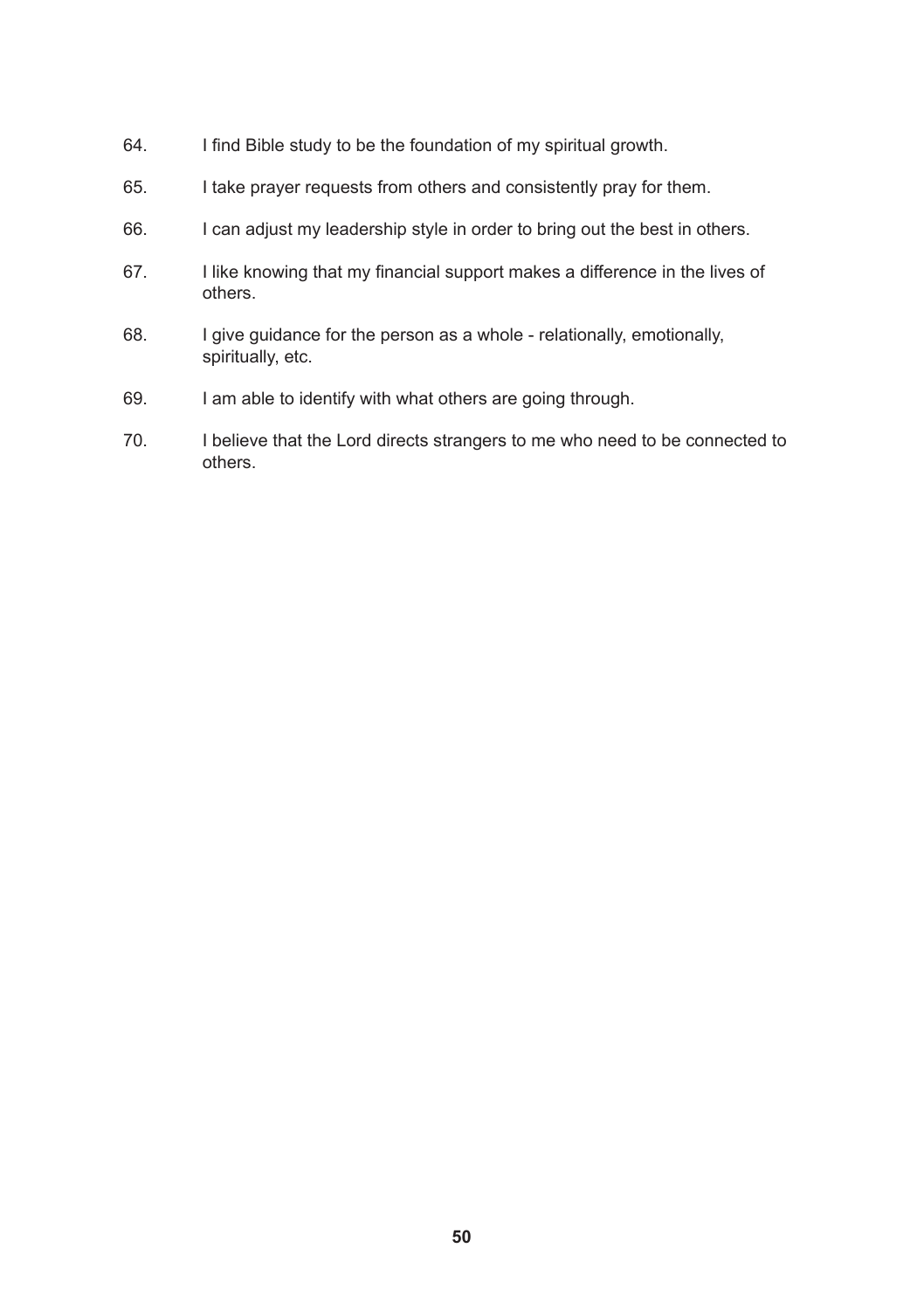- 64. I find Bible study to be the foundation of my spiritual growth.
- 65. I take prayer requests from others and consistently pray for them.
- 66. I can adjust my leadership style in order to bring out the best in others.
- 67. I like knowing that my financial support makes a difference in the lives of others.
- 68. I give guidance for the person as a whole relationally, emotionally, spiritually, etc.
- 69. I am able to identify with what others are going through.
- 70. I believe that the Lord directs strangers to me who need to be connected to others.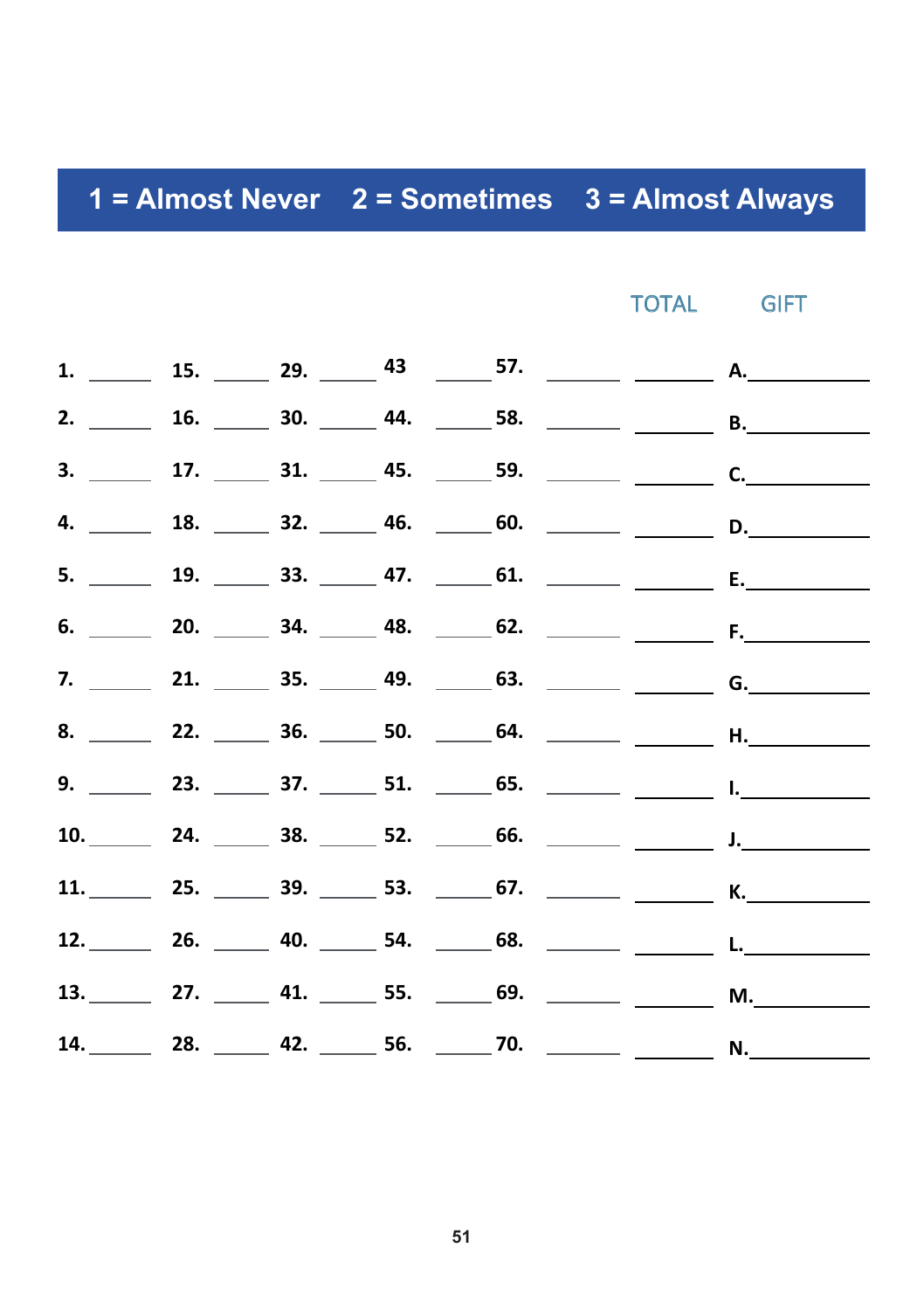#### **1 = Almost Never 2 = Sometimes 3 = Almost Always 1 = Almost Never 2 = Sometimes 3 3 = Almost Always**

TOTAL GIFT

|  |  | 11. 25. 39. 53. 53. $\frac{1}{2}$ 67. $\frac{1}{2}$ K. |  |
|--|--|--------------------------------------------------------|--|
|  |  | 12. 26. 40. 54. 68. 20. L.                             |  |
|  |  |                                                        |  |
|  |  | 14. 28. 28. 42. 56. 270. 28. N.                        |  |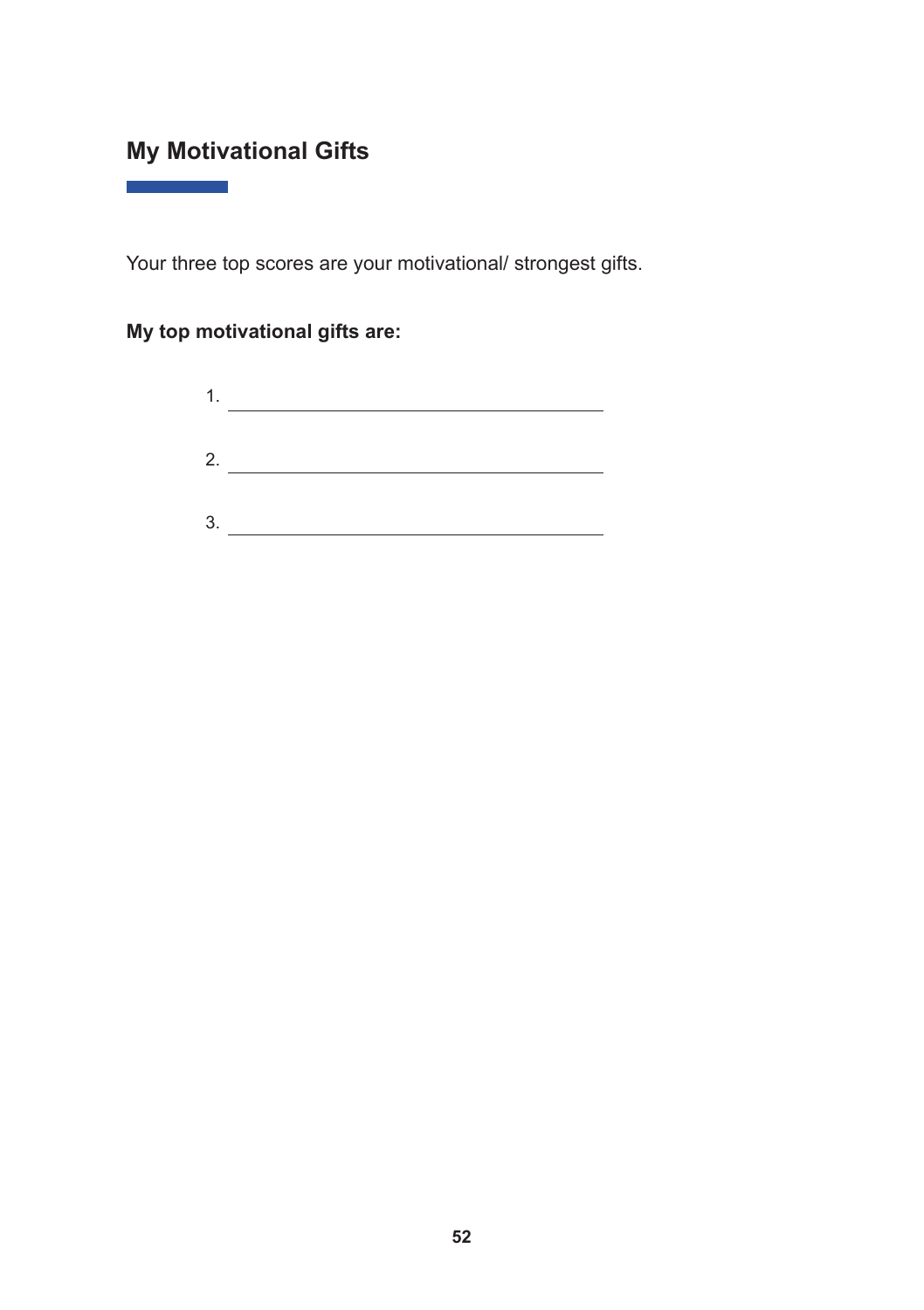## **My Motivational Gifts**

**Contract Contract** 

Your three top scores are your motivational/ strongest gifts.

#### **My top motivational gifts are:**

| ٠<br>- 1 |  |
|----------|--|
|          |  |
| 2.       |  |
|          |  |
| 3        |  |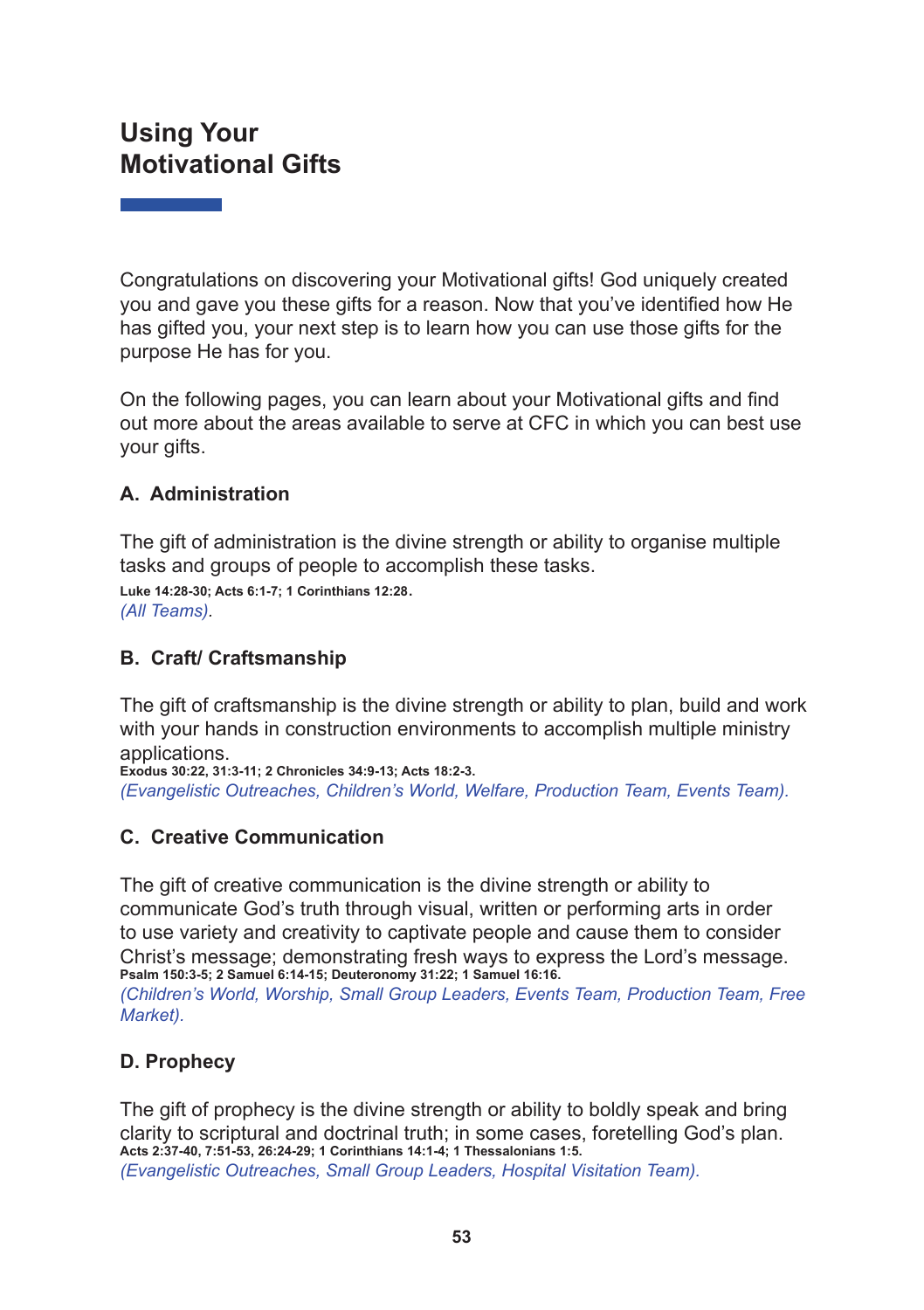## **Using Your Motivational Gifts**

Congratulations on discovering your Motivational gifts! God uniquely created you and gave you these gifts for a reason. Now that you've identified how He has gifted you, your next step is to learn how you can use those gifts for the purpose He has for you.

On the following pages, you can learn about your Motivational gifts and find out more about the areas available to serve at CFC in which you can best use your gifts.

#### **A. Administration**

The gift of administration is the divine strength or ability to organise multiple tasks and groups of people to accomplish these tasks. **Luke 14:28-30; Acts 6:1-7; 1 Corinthians 12:28**. *(All Teams).*

**B. Craft/ Craftsmanship**

The gift of craftsmanship is the divine strength or ability to plan, build and work with your hands in construction environments to accomplish multiple ministry applications.

**Exodus 30:22, 31:3-11; 2 Chronicles 34:9-13; Acts 18:2-3.** *(Evangelistic Outreaches, Children's World, Welfare, Production Team, Events Team).*

#### **C. Creative Communication**

The gift of creative communication is the divine strength or ability to communicate God's truth through visual, written or performing arts in order to use variety and creativity to captivate people and cause them to consider Christ's message; demonstrating fresh ways to express the Lord's message. **Psalm 150:3-5; 2 Samuel 6:14-15; Deuteronomy 31:22; 1 Samuel 16:16.** *(Children's World, Worship, Small Group Leaders, Events Team, Production Team, Free Market).*

#### **D. Prophecy**

The gift of prophecy is the divine strength or ability to boldly speak and bring clarity to scriptural and doctrinal truth; in some cases, foretelling God's plan. **Acts 2:37-40, 7:51-53, 26:24-29; 1 Corinthians 14:1-4; 1 Thessalonians 1:5.** *(Evangelistic Outreaches, Small Group Leaders, Hospital Visitation Team).*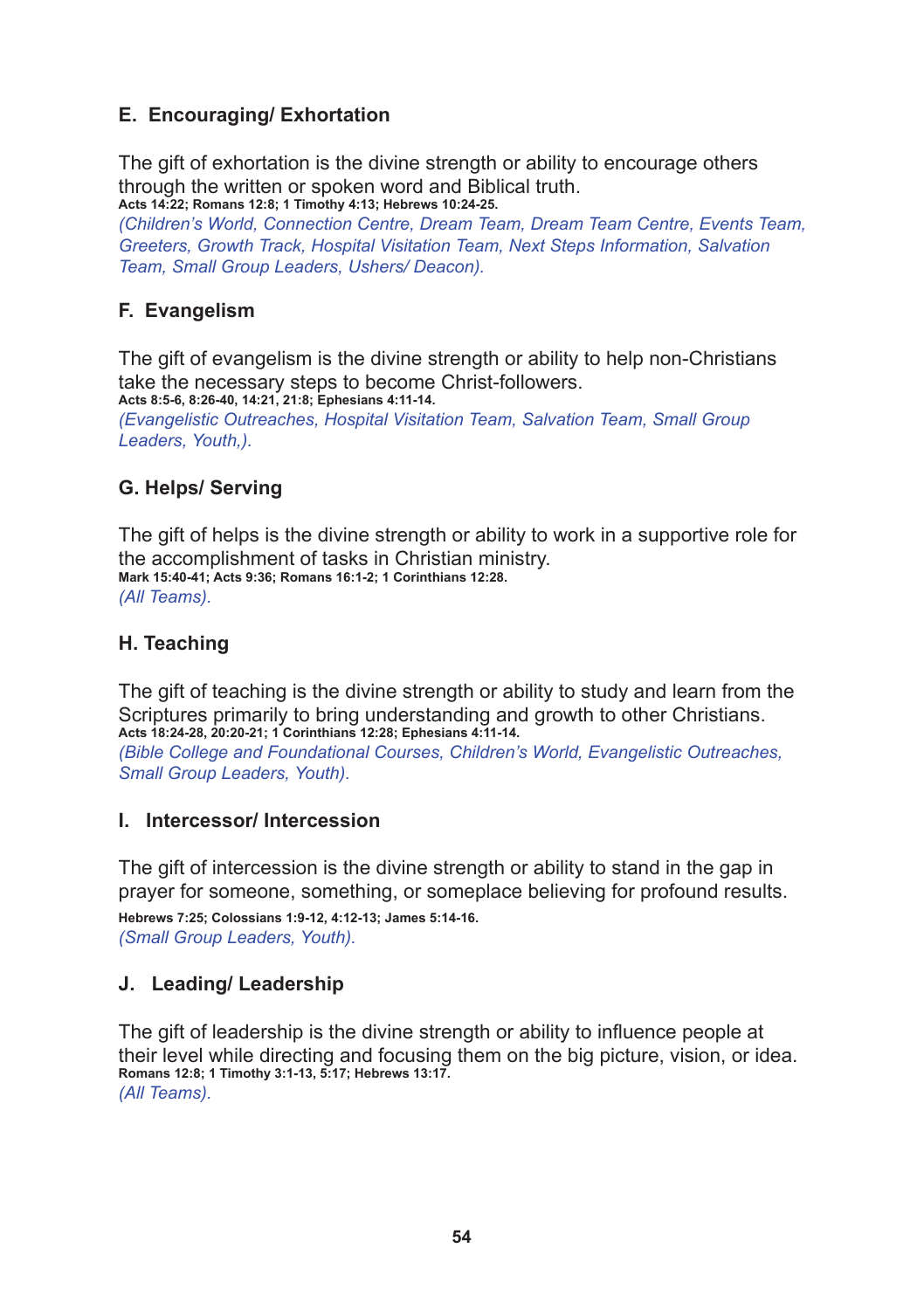#### **E. Encouraging/ Exhortation**

The gift of exhortation is the divine strength or ability to encourage others through the written or spoken word and Biblical truth. **Acts 14:22; Romans 12:8; 1 Timothy 4:13; Hebrews 10:24-25.**

*(Children's World, Connection Centre, Dream Team, Dream Team Centre, Events Team, Greeters, Growth Track, Hospital Visitation Team, Next Steps Information, Salvation Team, Small Group Leaders, Ushers/ Deacon).*

#### **F. Evangelism**

The gift of evangelism is the divine strength or ability to help non-Christians take the necessary steps to become Christ-followers. **Acts 8:5-6, 8:26-40, 14:21, 21:8; Ephesians 4:11-14.**

*(Evangelistic Outreaches, Hospital Visitation Team, Salvation Team, Small Group Leaders, Youth,).*

#### **G. Helps/ Serving**

The gift of helps is the divine strength or ability to work in a supportive role for the accomplishment of tasks in Christian ministry. **Mark 15:40-41; Acts 9:36; Romans 16:1-2; 1 Corinthians 12:28.** *(All Teams).*

#### **H. Teaching**

The gift of teaching is the divine strength or ability to study and learn from the Scriptures primarily to bring understanding and growth to other Christians. **Acts 18:24-28, 20:20-21; 1 Corinthians 12:28; Ephesians 4:11-14.** *(Bible College and Foundational Courses, Children's World, Evangelistic Outreaches, Small Group Leaders, Youth).*

#### **I. Intercessor/ Intercession**

The gift of intercession is the divine strength or ability to stand in the gap in prayer for someone, something, or someplace believing for profound results. **Hebrews 7:25; Colossians 1:9-12, 4:12-13; James 5:14-16.** *(Small Group Leaders, Youth).*

#### **J. Leading/ Leadership**

The gift of leadership is the divine strength or ability to influence people at their level while directing and focusing them on the big picture, vision, or idea. **Romans 12:8; 1 Timothy 3:1-13, 5:17; Hebrews 13:17.** *(All Teams).*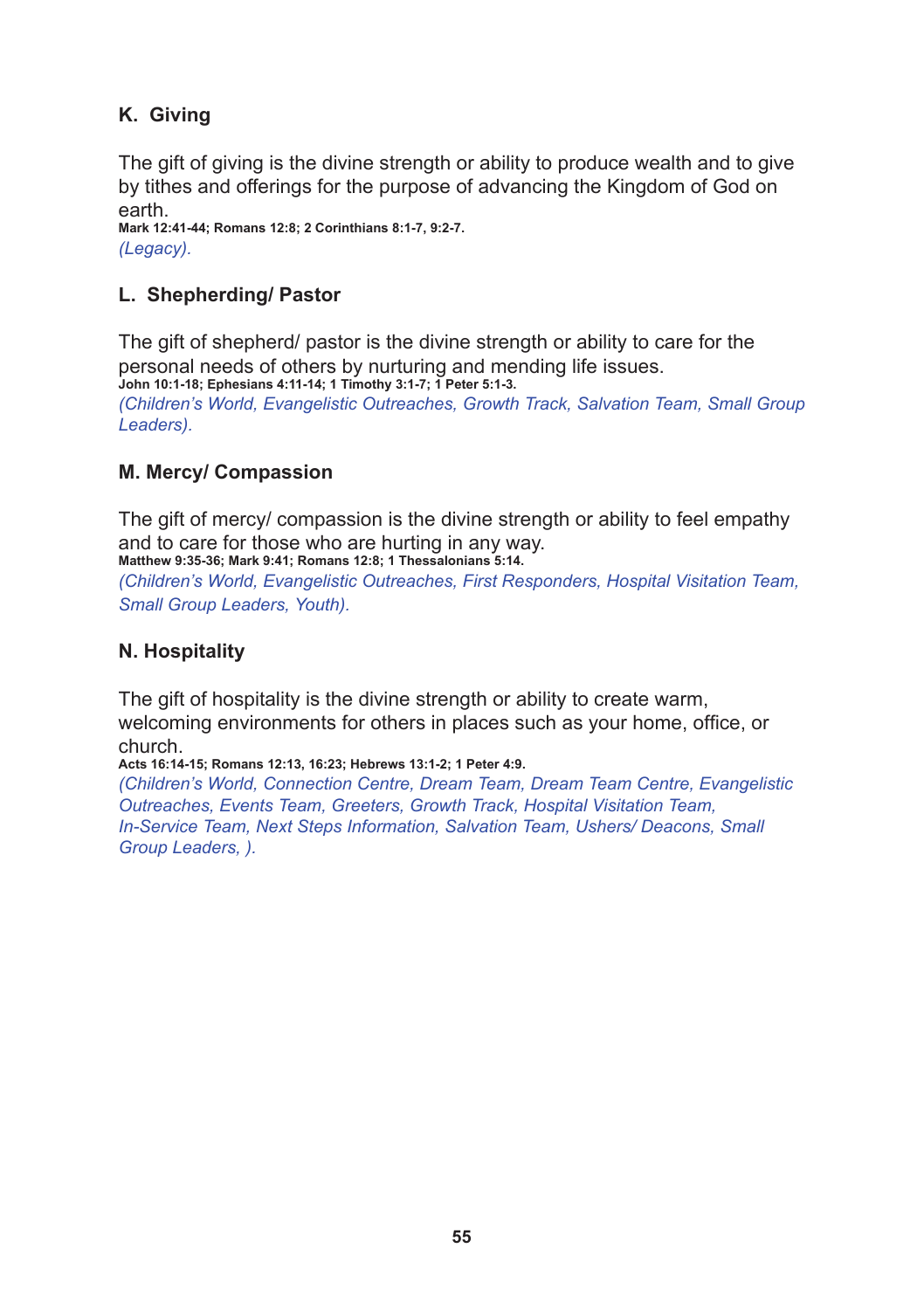#### **K. Giving**

The gift of giving is the divine strength or ability to produce wealth and to give by tithes and offerings for the purpose of advancing the Kingdom of God on earth.

**Mark 12:41-44; Romans 12:8; 2 Corinthians 8:1-7, 9:2-7.** *(Legacy).*

#### **L. Shepherding/ Pastor**

The gift of shepherd/ pastor is the divine strength or ability to care for the personal needs of others by nurturing and mending life issues. **John 10:1-18; Ephesians 4:11-14; 1 Timothy 3:1-7; 1 Peter 5:1-3.** *(Children's World, Evangelistic Outreaches, Growth Track, Salvation Team, Small Group Leaders).*

#### **M. Mercy/ Compassion**

The gift of mercy/ compassion is the divine strength or ability to feel empathy and to care for those who are hurting in any way. **Matthew 9:35-36; Mark 9:41; Romans 12:8; 1 Thessalonians 5:14.**

*(Children's World, Evangelistic Outreaches, First Responders, Hospital Visitation Team, Small Group Leaders, Youth).*

#### **N. Hospitality**

The gift of hospitality is the divine strength or ability to create warm, welcoming environments for others in places such as your home, office, or church.

**Acts 16:14-15; Romans 12:13, 16:23; Hebrews 13:1-2; 1 Peter 4:9.**

*(Children's World, Connection Centre, Dream Team, Dream Team Centre, Evangelistic Outreaches, Events Team, Greeters, Growth Track, Hospital Visitation Team, In-Service Team, Next Steps Information, Salvation Team, Ushers/ Deacons, Small Group Leaders, ).*